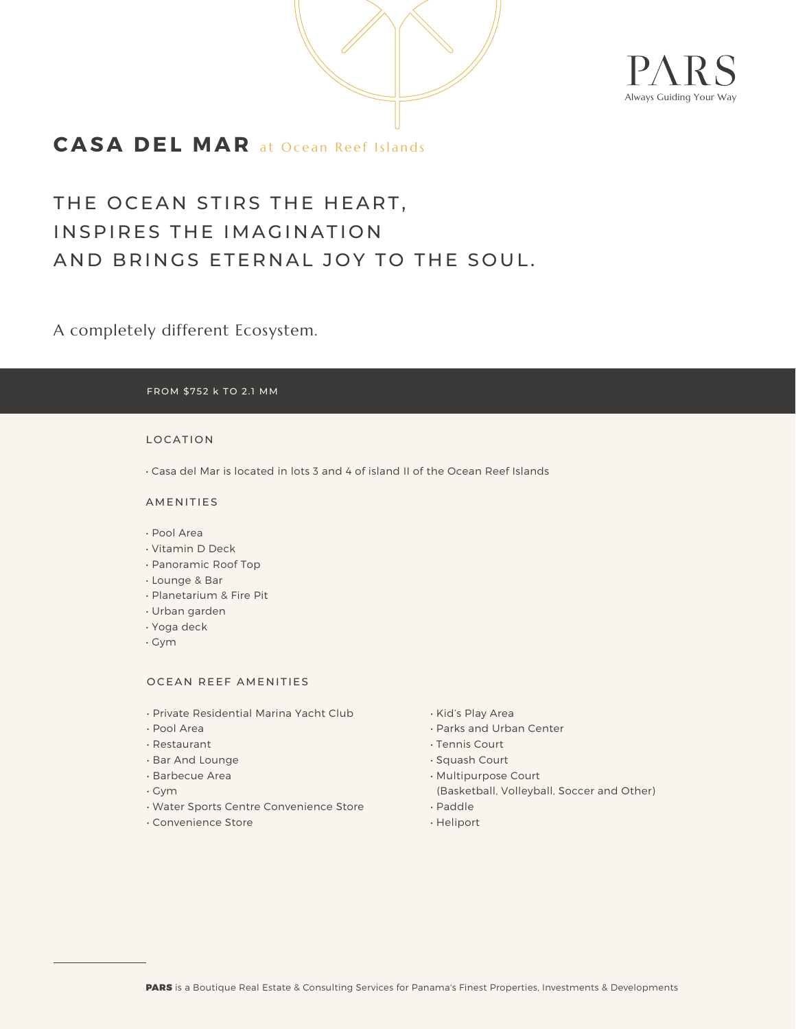



## **CASA DEL MAR** at Ocean Reef Islands

# THE OCEAN STIRS THE HEART, INSPIRES THE IMAGINATION AND BRINGS ETERNAL JOY TO THE SOUL.

A completely different Ecosystem.

#### FROM \$752 k TO 2.1 MM

#### LOCATION

• Casa del Mar is located in lots 3 and 4 of island II of the Ocean Reef Islands

### AMENITIES

- Pool Area
- Vitamin D Deck
- Panoramic Roof Top
- Lounge & Bar
- Planetarium & Fire Pit
- Urban garden
- Yoga deck
- Gym

#### OCEAN REEF AMENITIES

- Private Residential Marina Yacht Club
- Pool Area
- Restaurant
- Bar And Lounge
- Barbecue Area
- Gym
- Water Sports Centre Convenience Store
- Convenience Store
- Kid's Play Area
- Parks and Urban Center
- Tennis Court
- Squash Court
- Multipurpose Court
- (Basketball, Volleyball, Soccer and Other)
- Paddle
- Heliport